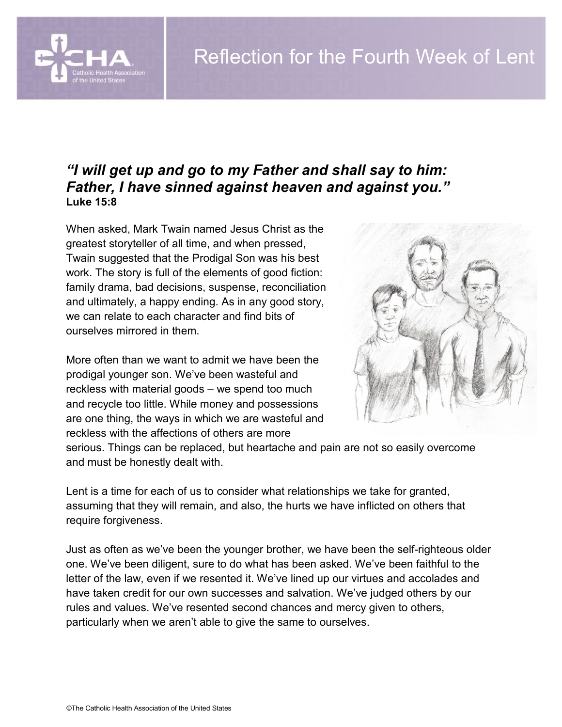

## *"I will get up and go to my Father and shall say to him: Father, I have sinned against heaven and against you."* **Luke 15:8**

When asked, Mark Twain named Jesus Christ as the greatest storyteller of all time, and when pressed, Twain suggested that the Prodigal Son was his best work. The story is full of the elements of good fiction: family drama, bad decisions, suspense, reconciliation and ultimately, a happy ending. As in any good story, we can relate to each character and find bits of ourselves mirrored in them.

More often than we want to admit we have been the prodigal younger son. We've been wasteful and reckless with material goods – we spend too much and recycle too little. While money and possessions are one thing, the ways in which we are wasteful and reckless with the affections of others are more



serious. Things can be replaced, but heartache and pain are not so easily overcome and must be honestly dealt with.

Lent is a time for each of us to consider what relationships we take for granted, assuming that they will remain, and also, the hurts we have inflicted on others that require forgiveness.

Just as often as we've been the younger brother, we have been the self-righteous older one. We've been diligent, sure to do what has been asked. We've been faithful to the letter of the law, even if we resented it. We've lined up our virtues and accolades and have taken credit for our own successes and salvation. We've judged others by our rules and values. We've resented second chances and mercy given to others, particularly when we aren't able to give the same to ourselves.